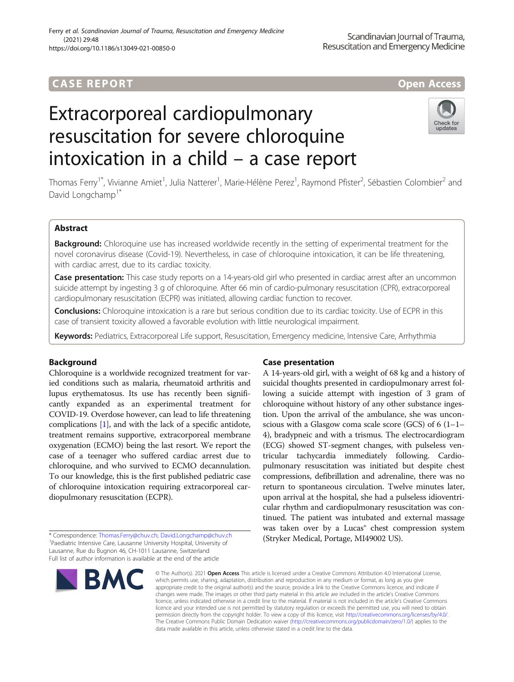# **CASE REPORT And The CASE REPORT** And The CASE ACCESS AND THE CASE ACCESS OPEN Access

# Extracorporeal cardiopulmonary resuscitation for severe chloroquine intoxication in a child – a case report



Thomas Ferry<sup>1\*</sup>, Vivianne Amiet<sup>1</sup>, Julia Natterer<sup>1</sup>, Marie-Hélène Perez<sup>1</sup>, Raymond Pfister<sup>2</sup>, Sébastien Colombier<sup>2</sup> and David Longchamp<sup>1\*</sup>

# Abstract

Background: Chloroquine use has increased worldwide recently in the setting of experimental treatment for the novel coronavirus disease (Covid-19). Nevertheless, in case of chloroquine intoxication, it can be life threatening, with cardiac arrest, due to its cardiac toxicity.

Case presentation: This case study reports on a 14-years-old girl who presented in cardiac arrest after an uncommon suicide attempt by ingesting 3 g of chloroquine. After 66 min of cardio-pulmonary resuscitation (CPR), extracorporeal cardiopulmonary resuscitation (ECPR) was initiated, allowing cardiac function to recover.

Conclusions: Chloroquine intoxication is a rare but serious condition due to its cardiac toxicity. Use of ECPR in this case of transient toxicity allowed a favorable evolution with little neurological impairment.

Keywords: Pediatrics, Extracorporeal Life support, Resuscitation, Emergency medicine, Intensive Care, Arrhythmia

## Background

Chloroquine is a worldwide recognized treatment for varied conditions such as malaria, rheumatoid arthritis and lupus erythematosus. Its use has recently been significantly expanded as an experimental treatment for COVID-19. Overdose however, can lead to life threatening complications [[1](#page-3-0)], and with the lack of a specific antidote, treatment remains supportive, extracorporeal membrane oxygenation (ECMO) being the last resort. We report the case of a teenager who suffered cardiac arrest due to chloroquine, and who survived to ECMO decannulation. To our knowledge, this is the first published pediatric case of chloroquine intoxication requiring extracorporeal cardiopulmonary resuscitation (ECPR).

\* Correspondence: [Thomas.Ferry@chuv.ch;](mailto:Thomas.Ferry@chuv.ch) [David.Longchamp@chuv.ch](mailto:David.Longchamp@chuv.ch) <sup>1</sup> <sup>1</sup>Paediatric Intensive Care, Lausanne University Hospital, University of Lausanne, Rue du Bugnon 46, CH-1011 Lausanne, Switzerland Full list of author information is available at the end of the article

# Case presentation

A 14-years-old girl, with a weight of 68 kg and a history of suicidal thoughts presented in cardiopulmonary arrest following a suicide attempt with ingestion of 3 gram of chloroquine without history of any other substance ingestion. Upon the arrival of the ambulance, she was unconscious with a Glasgow coma scale score (GCS) of  $6(1-1-$ 4), bradypneic and with a trismus. The electrocardiogram (ECG) showed ST-segment changes, with pulseless ventricular tachycardia immediately following. Cardiopulmonary resuscitation was initiated but despite chest compressions, defibrillation and adrenaline, there was no return to spontaneous circulation. Twelve minutes later, upon arrival at the hospital, she had a pulseless idioventricular rhythm and cardiopulmonary resuscitation was continued. The patient was intubated and external massage was taken over by a Lucas® chest compression system (Stryker Medical, Portage, MI49002 US).



© The Author(s), 2021 **Open Access** This article is licensed under a Creative Commons Attribution 4.0 International License, which permits use, sharing, adaptation, distribution and reproduction in any medium or format, as long as you give appropriate credit to the original author(s) and the source, provide a link to the Creative Commons licence, and indicate if changes were made. The images or other third party material in this article are included in the article's Creative Commons licence, unless indicated otherwise in a credit line to the material. If material is not included in the article's Creative Commons licence and your intended use is not permitted by statutory regulation or exceeds the permitted use, you will need to obtain permission directly from the copyright holder. To view a copy of this licence, visit [http://creativecommons.org/licenses/by/4.0/.](http://creativecommons.org/licenses/by/4.0/) The Creative Commons Public Domain Dedication waiver [\(http://creativecommons.org/publicdomain/zero/1.0/](http://creativecommons.org/publicdomain/zero/1.0/)) applies to the data made available in this article, unless otherwise stated in a credit line to the data.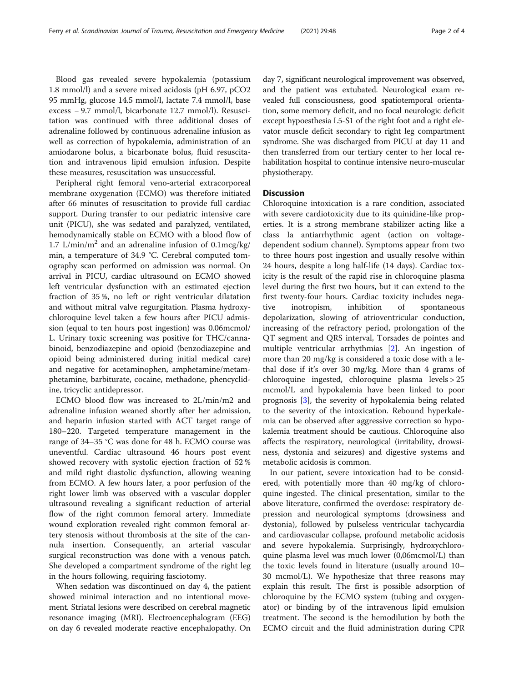Blood gas revealed severe hypokalemia (potassium 1.8 mmol/l) and a severe mixed acidosis (pH 6.97, pCO2 95 mmHg, glucose 14.5 mmol/l, lactate 7.4 mmol/l, base excess − 9.7 mmol/l, bicarbonate 12.7 mmol/l). Resuscitation was continued with three additional doses of adrenaline followed by continuous adrenaline infusion as well as correction of hypokalemia, administration of an amiodarone bolus, a bicarbonate bolus, fluid resuscitation and intravenous lipid emulsion infusion. Despite these measures, resuscitation was unsuccessful.

Peripheral right femoral veno-arterial extracorporeal membrane oxygenation (ECMO) was therefore initiated after 66 minutes of resuscitation to provide full cardiac support. During transfer to our pediatric intensive care unit (PICU), she was sedated and paralyzed, ventilated, hemodynamically stable on ECMO with a blood flow of 1.7 L/min/m<sup>2</sup> and an adrenaline infusion of  $0.1 \text{mg/kg}$ / min, a temperature of 34.9 °C. Cerebral computed tomography scan performed on admission was normal. On arrival in PICU, cardiac ultrasound on ECMO showed left ventricular dysfunction with an estimated ejection fraction of 35 %, no left or right ventricular dilatation and without mitral valve regurgitation. Plasma hydroxychloroquine level taken a few hours after PICU admission (equal to ten hours post ingestion) was 0.06mcmol/ L. Urinary toxic screening was positive for THC/cannabinoid, benzodiazepine and opioid (benzodiazepine and opioid being administered during initial medical care) and negative for acetaminophen, amphetamine/metamphetamine, barbiturate, cocaine, methadone, phencyclidine, tricyclic antidepressor.

ECMO blood flow was increased to 2L/min/m2 and adrenaline infusion weaned shortly after her admission, and heparin infusion started with ACT target range of 180–220. Targeted temperature management in the range of 34–35 °C was done for 48 h. ECMO course was uneventful. Cardiac ultrasound 46 hours post event showed recovery with systolic ejection fraction of 52 % and mild right diastolic dysfunction, allowing weaning from ECMO. A few hours later, a poor perfusion of the right lower limb was observed with a vascular doppler ultrasound revealing a significant reduction of arterial flow of the right common femoral artery. Immediate wound exploration revealed right common femoral artery stenosis without thrombosis at the site of the cannula insertion. Consequently, an arterial vascular surgical reconstruction was done with a venous patch. She developed a compartment syndrome of the right leg in the hours following, requiring fasciotomy.

When sedation was discontinued on day 4, the patient showed minimal interaction and no intentional movement. Striatal lesions were described on cerebral magnetic resonance imaging (MRI). Electroencephalogram (EEG) on day 6 revealed moderate reactive encephalopathy. On

day 7, significant neurological improvement was observed, and the patient was extubated. Neurological exam revealed full consciousness, good spatiotemporal orientation, some memory deficit, and no focal neurologic deficit except hypoesthesia L5-S1 of the right foot and a right elevator muscle deficit secondary to right leg compartment syndrome. She was discharged from PICU at day 11 and then transferred from our tertiary center to her local rehabilitation hospital to continue intensive neuro-muscular physiotherapy.

### **Discussion**

Chloroquine intoxication is a rare condition, associated with severe cardiotoxicity due to its quinidine-like properties. It is a strong membrane stabilizer acting like a class Ia antiarrhythmic agent (action on voltagedependent sodium channel). Symptoms appear from two to three hours post ingestion and usually resolve within 24 hours, despite a long half-life (14 days). Cardiac toxicity is the result of the rapid rise in chloroquine plasma level during the first two hours, but it can extend to the first twenty-four hours. Cardiac toxicity includes negative inotropism, inhibition of spontaneous depolarization, slowing of atrioventricular conduction, increasing of the refractory period, prolongation of the QT segment and QRS interval, Torsades de pointes and multiple ventricular arrhythmias [[2\]](#page-3-0). An ingestion of more than 20 mg/kg is considered a toxic dose with a lethal dose if it's over 30 mg/kg. More than 4 grams of chloroquine ingested, chloroquine plasma levels > 25 mcmol/L and hypokalemia have been linked to poor prognosis [\[3](#page-3-0)], the severity of hypokalemia being related to the severity of the intoxication. Rebound hyperkalemia can be observed after aggressive correction so hypokalemia treatment should be cautious. Chloroquine also affects the respiratory, neurological (irritability, drowsiness, dystonia and seizures) and digestive systems and metabolic acidosis is common.

In our patient, severe intoxication had to be considered, with potentially more than 40 mg/kg of chloroquine ingested. The clinical presentation, similar to the above literature, confirmed the overdose: respiratory depression and neurological symptoms (drowsiness and dystonia), followed by pulseless ventricular tachycardia and cardiovascular collapse, profound metabolic acidosis and severe hypokalemia. Surprisingly, hydroxychloroquine plasma level was much lower (0,06mcmol/L) than the toxic levels found in literature (usually around 10– 30 mcmol/L). We hypothesize that three reasons may explain this result. The first is possible adsorption of chloroquine by the ECMO system (tubing and oxygenator) or binding by of the intravenous lipid emulsion treatment. The second is the hemodilution by both the ECMO circuit and the fluid administration during CPR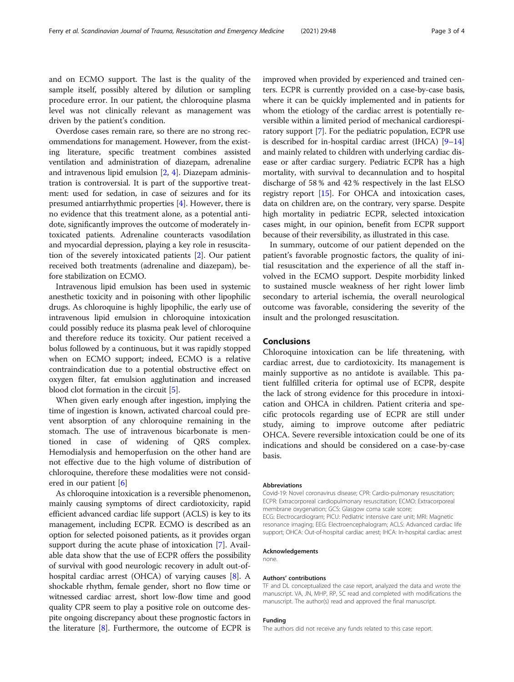and on ECMO support. The last is the quality of the sample itself, possibly altered by dilution or sampling procedure error. In our patient, the chloroquine plasma level was not clinically relevant as management was driven by the patient's condition.

Overdose cases remain rare, so there are no strong recommendations for management. However, from the existing literature, specific treatment combines assisted ventilation and administration of diazepam, adrenaline and intravenous lipid emulsion [[2,](#page-3-0) [4\]](#page-3-0). Diazepam administration is controversial. It is part of the supportive treatment: used for sedation, in case of seizures and for its presumed antiarrhythmic properties [\[4](#page-3-0)]. However, there is no evidence that this treatment alone, as a potential antidote, significantly improves the outcome of moderately intoxicated patients. Adrenaline counteracts vasodilation and myocardial depression, playing a key role in resuscitation of the severely intoxicated patients [\[2\]](#page-3-0). Our patient received both treatments (adrenaline and diazepam), before stabilization on ECMO.

Intravenous lipid emulsion has been used in systemic anesthetic toxicity and in poisoning with other lipophilic drugs. As chloroquine is highly lipophilic, the early use of intravenous lipid emulsion in chloroquine intoxication could possibly reduce its plasma peak level of chloroquine and therefore reduce its toxicity. Our patient received a bolus followed by a continuous, but it was rapidly stopped when on ECMO support; indeed, ECMO is a relative contraindication due to a potential obstructive effect on oxygen filter, fat emulsion agglutination and increased blood clot formation in the circuit [[5\]](#page-3-0).

When given early enough after ingestion, implying the time of ingestion is known, activated charcoal could prevent absorption of any chloroquine remaining in the stomach. The use of intravenous bicarbonate is mentioned in case of widening of QRS complex. Hemodialysis and hemoperfusion on the other hand are not effective due to the high volume of distribution of chloroquine, therefore these modalities were not considered in our patient [[6\]](#page-3-0)

As chloroquine intoxication is a reversible phenomenon, mainly causing symptoms of direct cardiotoxicity, rapid efficient advanced cardiac life support (ACLS) is key to its management, including ECPR. ECMO is described as an option for selected poisoned patients, as it provides organ support during the acute phase of intoxication [\[7\]](#page-3-0). Available data show that the use of ECPR offers the possibility of survival with good neurologic recovery in adult out-ofhospital cardiac arrest (OHCA) of varying causes [\[8](#page-3-0)]. A shockable rhythm, female gender, short no flow time or witnessed cardiac arrest, short low-flow time and good quality CPR seem to play a positive role on outcome despite ongoing discrepancy about these prognostic factors in the literature  $[8]$  $[8]$ . Furthermore, the outcome of ECPR is

improved when provided by experienced and trained centers. ECPR is currently provided on a case-by-case basis, where it can be quickly implemented and in patients for whom the etiology of the cardiac arrest is potentially reversible within a limited period of mechanical cardiorespiratory support [\[7](#page-3-0)]. For the pediatric population, ECPR use is described for in-hospital cardiac arrest (IHCA) [\[9](#page-3-0)–[14](#page-3-0)] and mainly related to children with underlying cardiac disease or after cardiac surgery. Pediatric ECPR has a high mortality, with survival to decannulation and to hospital discharge of 58 % and 42 % respectively in the last ELSO registry report [\[15\]](#page-3-0). For OHCA and intoxication cases, data on children are, on the contrary, very sparse. Despite high mortality in pediatric ECPR, selected intoxication cases might, in our opinion, benefit from ECPR support because of their reversibility, as illustrated in this case.

In summary, outcome of our patient depended on the patient's favorable prognostic factors, the quality of initial resuscitation and the experience of all the staff involved in the ECMO support. Despite morbidity linked to sustained muscle weakness of her right lower limb secondary to arterial ischemia, the overall neurological outcome was favorable, considering the severity of the insult and the prolonged resuscitation.

### Conclusions

Chloroquine intoxication can be life threatening, with cardiac arrest, due to cardiotoxicity. Its management is mainly supportive as no antidote is available. This patient fulfilled criteria for optimal use of ECPR, despite the lack of strong evidence for this procedure in intoxication and OHCA in children. Patient criteria and specific protocols regarding use of ECPR are still under study, aiming to improve outcome after pediatric OHCA. Severe reversible intoxication could be one of its indications and should be considered on a case-by-case basis.

#### Abbreviations

Covid-19: Novel coronavirus disease; CPR: Cardio-pulmonary resuscitation; ECPR: Extracorporeal cardiopulmonary resuscitation; ECMO: Extracorporeal membrane oxygenation; GCS: Glasgow coma scale score; ECG: Electrocardiogram; PICU: Pediatric intensive care unit; MRI: Magnetic resonance imaging; EEG: Electroencephalogram; ACLS: Advanced cardiac life support; OHCA: Out-of-hospital cardiac arrest; IHCA: In-hospital cardiac arrest

#### Acknowledgements

none.

#### Authors' contributions

TF and DL conceptualized the case report, analyzed the data and wrote the manuscript. VA, JN, MHP, RP, SC read and completed with modifications the manuscript. The author(s) read and approved the final manuscript.

#### Funding

The authors did not receive any funds related to this case report.